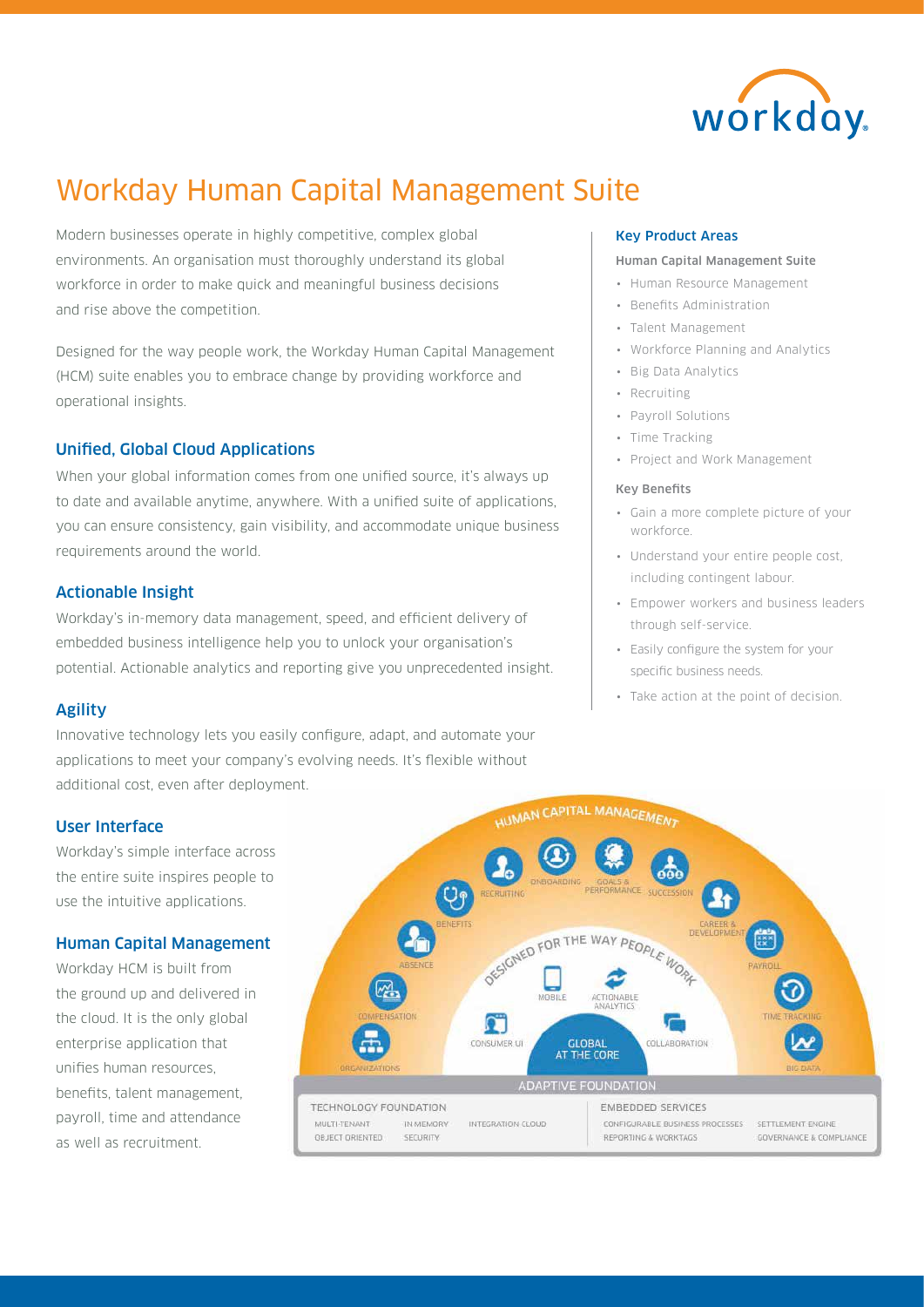

# Workday Human Capital Management Suite

Modern businesses operate in highly competitive, complex global environments. An organisation must thoroughly understand its global workforce in order to make quick and meaningful business decisions and rise above the competition.

Designed for the way people work, the Workday Human Capital Management (HCM) suite enables you to embrace change by providing workforce and operational insights.

# Unified, Global Cloud Applications

When your global information comes from one unified source, it's always up to date and available anytime, anywhere. With a unified suite of applications, you can ensure consistency, gain visibility, and accommodate unique business requirements around the world.

# Actionable Insight

Workday's in-memory data management, speed, and efficient delivery of embedded business intelligence help you to unlock your organisation's potential. Actionable analytics and reporting give you unprecedented insight.

# Agility

Innovative technology lets you easily configure, adapt, and automate your applications to meet your company's evolving needs. It's flexible without additional cost, even after deployment.

# Key Product Areas

# Human Capital Management Suite

- Human Resource Management
- Benefits Administration
- Talent Management
- Workforce Planning and Analytics
- Big Data Analytics
- Recruiting
- Payroll Solutions
- Time Tracking
- Project and Work Management

# Key Benefits

- Gain a more complete picture of your workforce.
- Understand your entire people cost, including contingent labour.
- Empower workers and business leaders through self-service.
- Easily configure the system for your specific business needs.
- Take action at the point of decision.



# User Interface

Workday's simple interface across the entire suite inspires people to use the intuitive applications.

# Human Capital Management

Workday HCM is built from the ground up and delivered in the cloud. It is the only global enterprise application that unifies human resources, benefits, talent management, payroll, time and attendance as well as recruitment.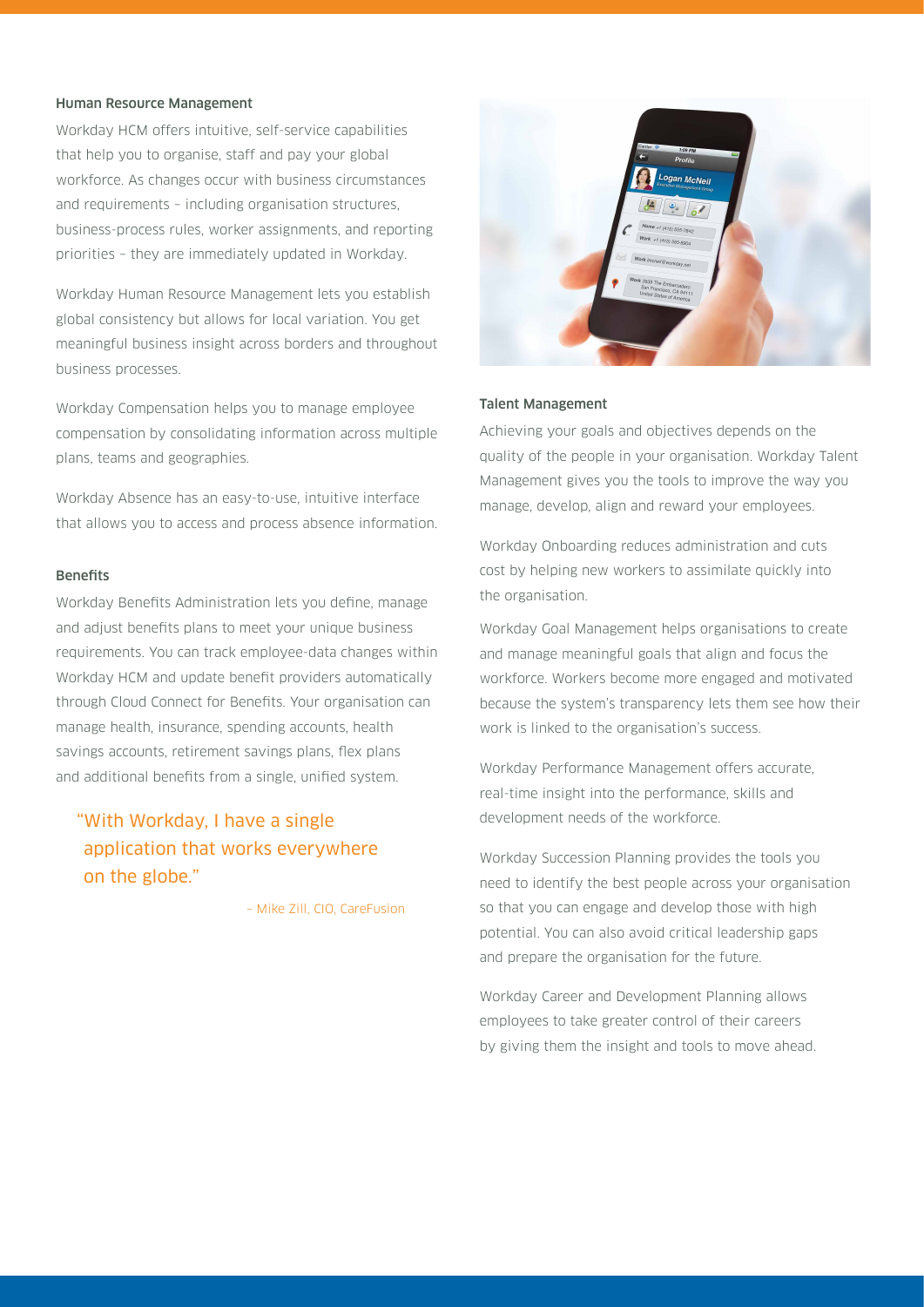### Human Resource Management

Workday HCM offers intuitive, self-service capabilities that help you to organise, staff and pay your global workforce. As changes occur with business circumstances and requirements – including organisation structures, business-process rules, worker assignments, and reporting priorities – they are immediately updated in Workday.

Workday Human Resource Management lets you establish global consistency but allows for local variation. You get meaningful business insight across borders and throughout business processes.

Workday Compensation helps you to manage employee compensation by consolidating information across multiple plans, teams and geographies.

Workday Absence has an easy-to-use, intuitive interface that allows you to access and process absence information.

# Benefits

Workday Benefits Administration lets you define, manage and adjust benefits plans to meet your unique business requirements. You can track employee-data changes within Workday HCM and update benefit providers automatically through Cloud Connect for Benefits. Your organisation can manage health, insurance, spending accounts, health savings accounts, retirement savings plans, flex plans and additional benefits from a single, unified system.

"With Workday, I have a single application that works everywhere on the globe."

– Mike Zill, CIO, CareFusion



# Talent Management

Achieving your goals and objectives depends on the quality of the people in your organisation. Workday Talent Management gives you the tools to improve the way you manage, develop, align and reward your employees.

Workday Onboarding reduces administration and cuts cost by helping new workers to assimilate quickly into the organisation.

Workday Goal Management helps organisations to create and manage meaningful goals that align and focus the workforce. Workers become more engaged and motivated because the system's transparency lets them see how their work is linked to the organisation's success.

Workday Performance Management offers accurate, real-time insight into the performance, skills and development needs of the workforce.

Workday Succession Planning provides the tools you need to identify the best people across your organisation so that you can engage and develop those with high potential. You can also avoid critical leadership gaps and prepare the organisation for the future.

Workday Career and Development Planning allows employees to take greater control of their careers by giving them the insight and tools to move ahead.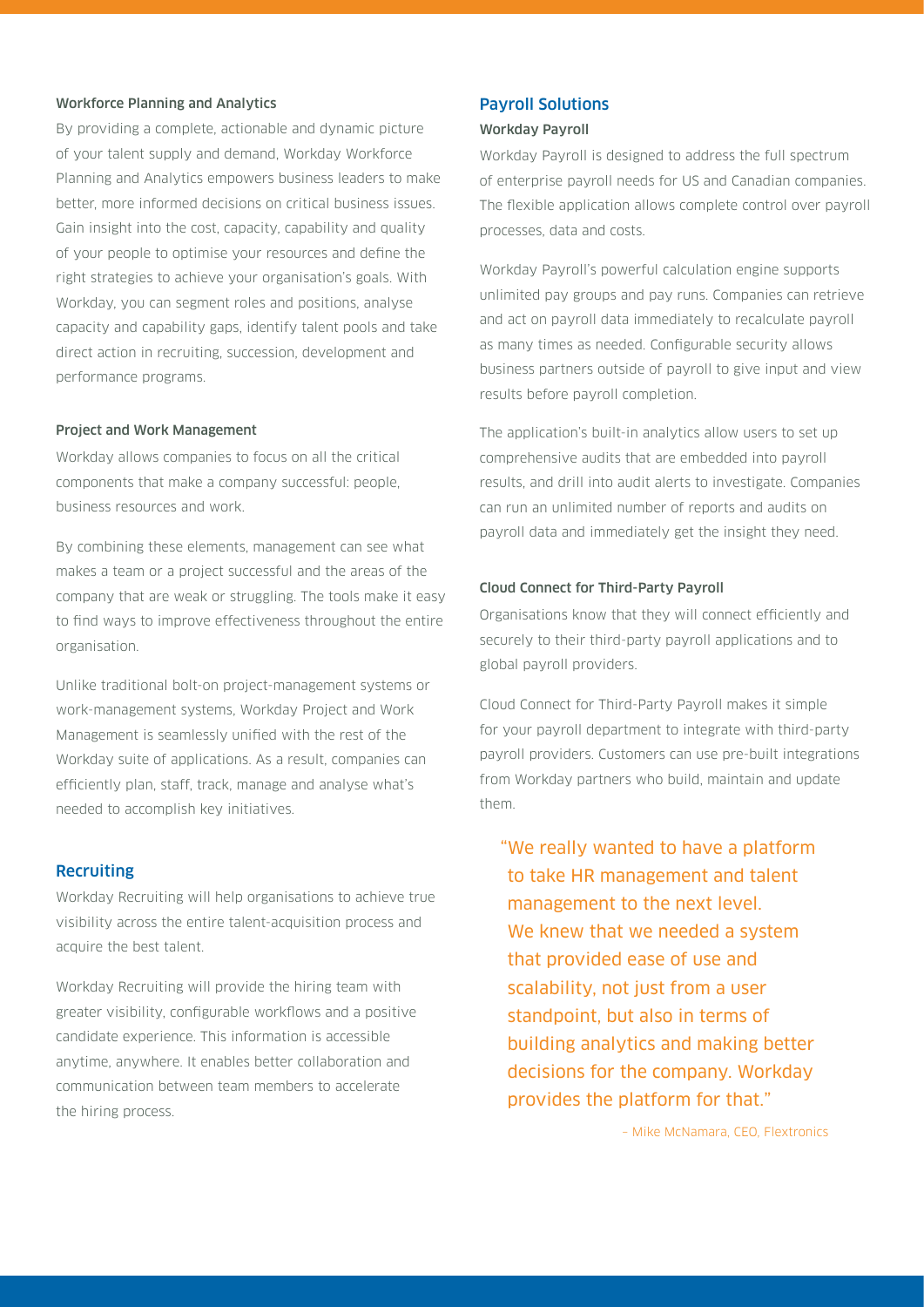# Workforce Planning and Analytics

By providing a complete, actionable and dynamic picture of your talent supply and demand, Workday Workforce Planning and Analytics empowers business leaders to make better, more informed decisions on critical business issues. Gain insight into the cost, capacity, capability and quality of your people to optimise your resources and define the right strategies to achieve your organisation's goals. With Workday, you can segment roles and positions, analyse capacity and capability gaps, identify talent pools and take direct action in recruiting, succession, development and performance programs.

### Project and Work Management

Workday allows companies to focus on all the critical components that make a company successful: people, business resources and work.

By combining these elements, management can see what makes a team or a project successful and the areas of the company that are weak or struggling. The tools make it easy to find ways to improve effectiveness throughout the entire organisation.

Unlike traditional bolt-on project-management systems or work-management systems, Workday Project and Work Management is seamlessly unified with the rest of the Workday suite of applications. As a result, companies can efficiently plan, staff, track, manage and analyse what's needed to accomplish key initiatives.

### Recruiting

Workday Recruiting will help organisations to achieve true visibility across the entire talent-acquisition process and acquire the best talent.

Workday Recruiting will provide the hiring team with greater visibility, configurable workflows and a positive candidate experience. This information is accessible anytime, anywhere. It enables better collaboration and communication between team members to accelerate the hiring process.

# Payroll Solutions

#### Workday Payroll

Workday Payroll is designed to address the full spectrum of enterprise payroll needs for US and Canadian companies. The flexible application allows complete control over payroll processes, data and costs.

Workday Payroll's powerful calculation engine supports unlimited pay groups and pay runs. Companies can retrieve and act on payroll data immediately to recalculate payroll as many times as needed. Configurable security allows business partners outside of payroll to give input and view results before payroll completion.

The application's built-in analytics allow users to set up comprehensive audits that are embedded into payroll results, and drill into audit alerts to investigate. Companies can run an unlimited number of reports and audits on payroll data and immediately get the insight they need.

# Cloud Connect for Third-Party Payroll

Organisations know that they will connect efficiently and securely to their third-party payroll applications and to global payroll providers.

Cloud Connect for Third-Party Payroll makes it simple for your payroll department to integrate with third-party payroll providers. Customers can use pre-built integrations from Workday partners who build, maintain and update them.

"We really wanted to have a platform to take HR management and talent management to the next level. We knew that we needed a system that provided ease of use and scalability, not just from a user standpoint, but also in terms of building analytics and making better decisions for the company. Workday provides the platform for that."

– Mike McNamara, CEO, Flextronics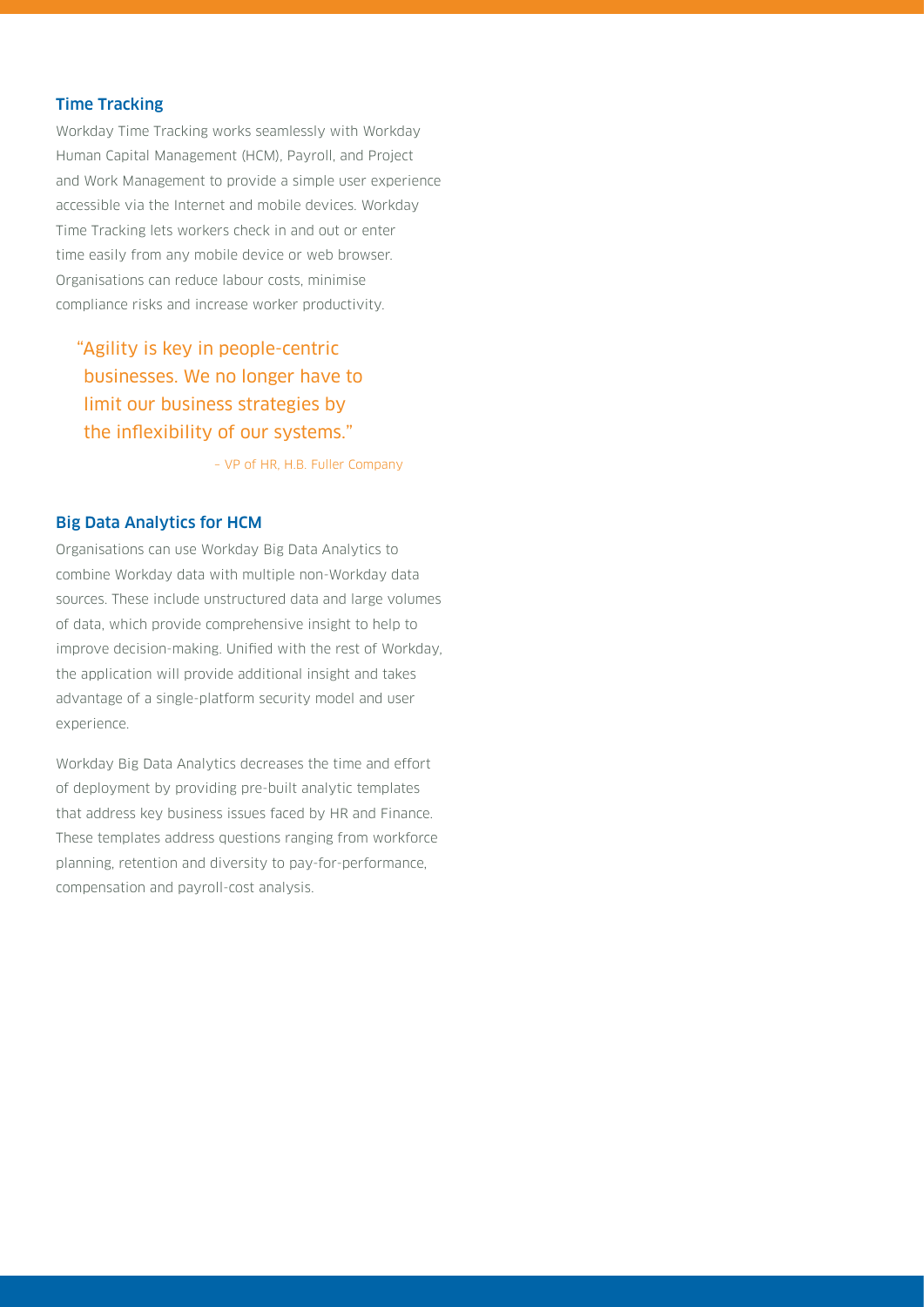# Time Tracking

Workday Time Tracking works seamlessly with Workday Human Capital Management (HCM), Payroll, and Project and Work Management to provide a simple user experience accessible via the Internet and mobile devices. Workday Time Tracking lets workers check in and out or enter time easily from any mobile device or web browser. Organisations can reduce labour costs, minimise compliance risks and increase worker productivity.

"Agility is key in people-centric businesses. We no longer have to limit our business strategies by the inflexibility of our systems."

– VP of HR, H.B. Fuller Company

# Big Data Analytics for HCM

Organisations can use Workday Big Data Analytics to combine Workday data with multiple non-Workday data sources. These include unstructured data and large volumes of data, which provide comprehensive insight to help to improve decision-making. Unified with the rest of Workday, the application will provide additional insight and takes advantage of a single-platform security model and user experience.

Workday Big Data Analytics decreases the time and effort of deployment by providing pre-built analytic templates that address key business issues faced by HR and Finance. These templates address questions ranging from workforce planning, retention and diversity to pay-for-performance, compensation and payroll-cost analysis.